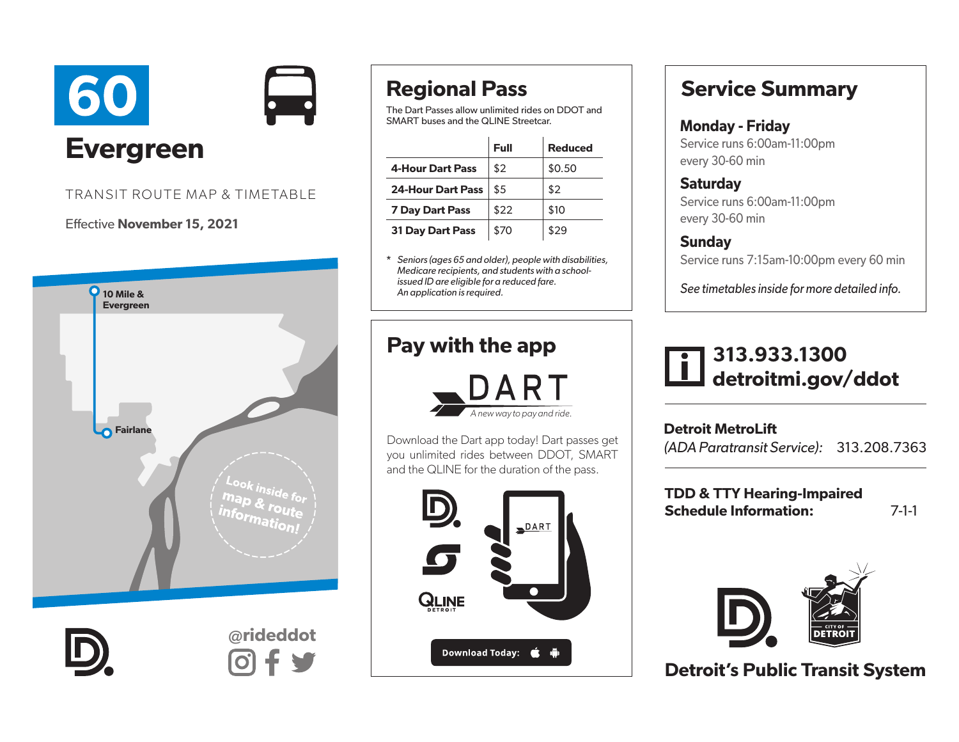



#### TRANSIT ROUTE MAP & TIMETABLE

#### Effective November 15, 2021



# Regional Pass

The Dart Passes allow unlimited rides on DDOT and SMART buses and the QLINE Streetcar.

|                          | Full | <b>Reduced</b> |
|--------------------------|------|----------------|
| <b>4-Hour Dart Pass</b>  | \$2  | \$0.50         |
| <b>24-Hour Dart Pass</b> | \$5  | \$2            |
| <b>7 Day Dart Pass</b>   | \$22 | \$10           |
| <b>31 Day Dart Pass</b>  | \$70 | \$29           |

\* *Seniors (ages 65 and older), people with disabilities, Medicare recipients, and students with a schoolissued ID are eligible for a reduced fare. An application is required.* 

## Pay with the app



Download the Dart app today! Dart passes get you unlimited rides between DDOT, SMART and the QLINE for the duration of the pass.



## Service Summary

#### Monday - Friday Service runs 6:00am-11:00pm every 30-60 min

**Saturday** Service runs 6:00am-11:00pm every 30-60 min

### Sunday

Service runs 7:15am-10:00pm every 60 min

*See timetables inside for more detailed info.*



Detroit MetroLift *(ADA Paratransit Service):* 313.208.7363

TDD & TTY Hearing-Impaired Schedule Information: 7-1-1



Detroit's Public Transit System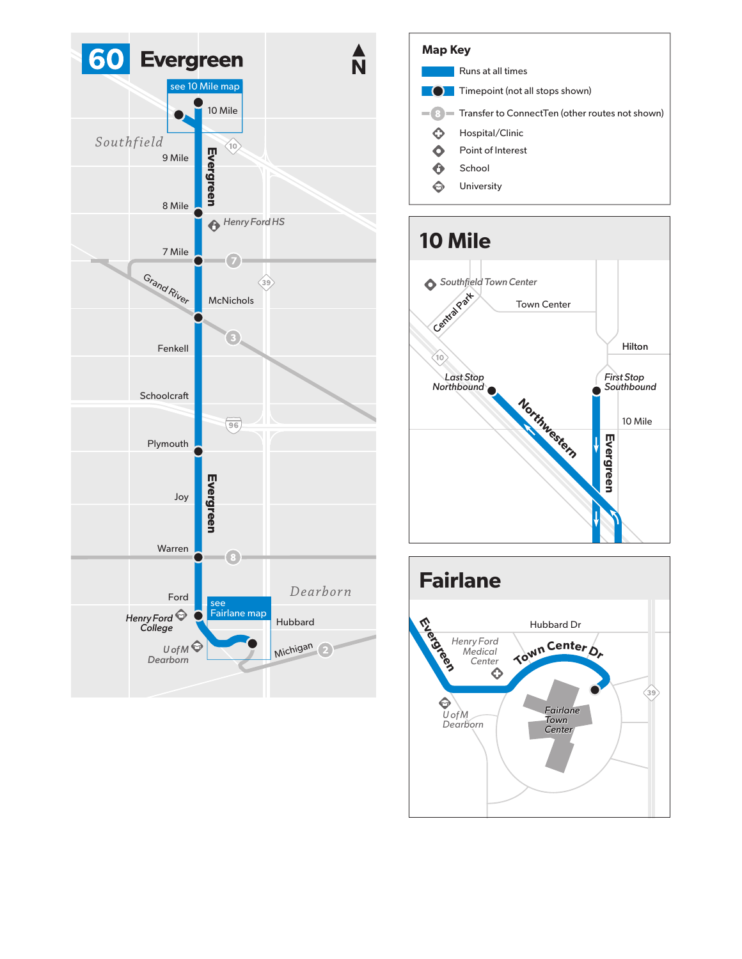





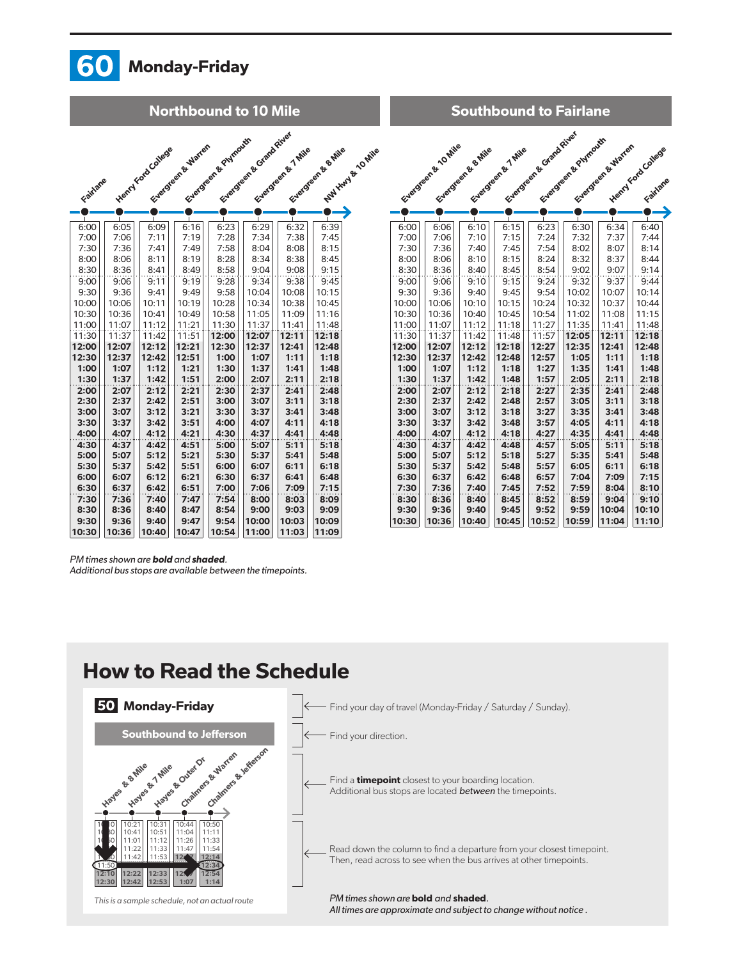

*PM times shown are* bold *and* shaded*.* 

*Additional bus stops are available between the timepoints.*

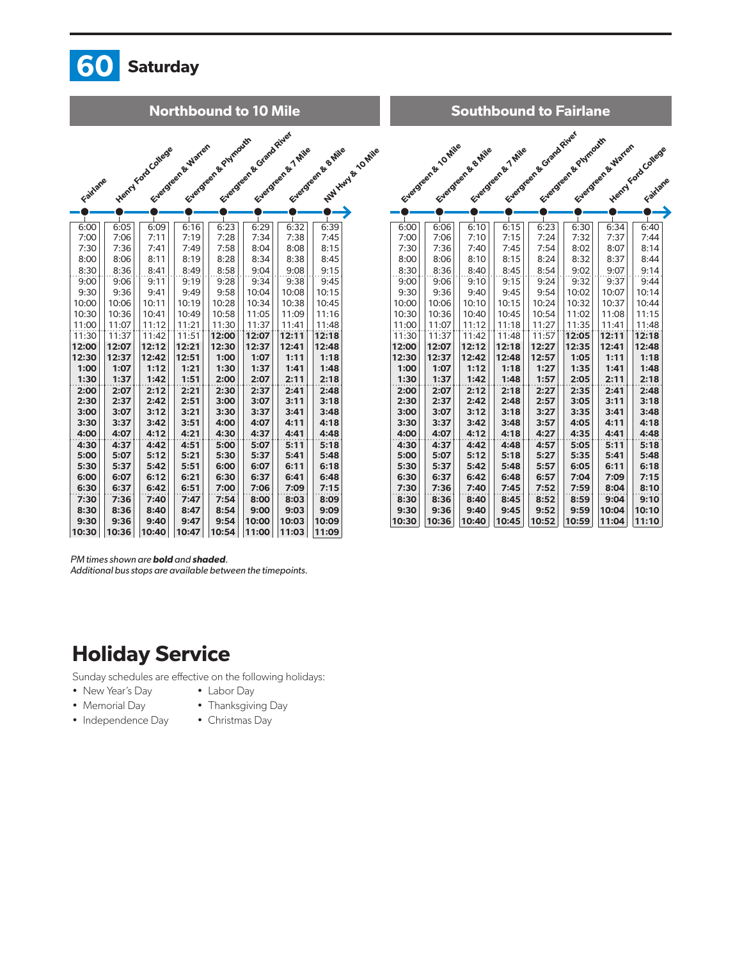

|              |              |                    | <b>Northbound to 10 Mile</b> |                     |                          |                   |                     |                           |              |                    |                     | <b>Southbound to Fairlane</b> |                         |                      |                |
|--------------|--------------|--------------------|------------------------------|---------------------|--------------------------|-------------------|---------------------|---------------------------|--------------|--------------------|---------------------|-------------------------------|-------------------------|----------------------|----------------|
| Fairlane     |              | Henry Ford College | Everyears & Warter           | Evergreen & Pumouth | Everywork of Grand River | Everywork of Mile | Everywork & B. Mile | <b>Anti-Anti-Accepter</b> |              | Evergeen & Lo Mile | Everywork & B. Mile | Everywork of Mile             | Everyone of Grand River | Evergreen & Phymodes |                |
|              |              |                    |                              |                     |                          |                   |                     |                           |              |                    |                     |                               |                         |                      |                |
| 6:00         | 6:05         | 6:09               | 6:16                         | 6:23                | 6:29                     | 6:32              | 6:39                |                           | 6:00         | 6:06               | 6:10                | 6:15                          | 6:23                    | 6:30                 | $\epsilon$     |
| 7:00         | 7:06         | 7:11               | 7:19                         | 7:28                | 7:34                     | 7:38              | 7:45                |                           | 7:00         | 7:06               | 7:10                | 7:15                          | 7:24                    | 7:32                 |                |
| 7:30         | 7:36         | 7:41               | 7:49                         | 7:58                | 8:04                     | 8:08              | 8:15                |                           | 7:30         | 7:36               | 7:40                | 7:45                          | 7:54                    | 8:02                 |                |
| 8:00         | 8:06         | 8:11               | 8:19                         | 8:28                | 8:34                     | 8:38              | 8:45                |                           | 8:00         | 8:06               | 8:10                | 8:15                          | 8:24                    | 8:32                 |                |
| 8:30         | 8:36         | 8:41               | 8:49                         | 8:58                | 9:04                     | 9:08              | 9:15                |                           | 8:30         | 8:36               | 8:40                | 8:45                          | 8:54                    | 9:02                 |                |
| 9:00         | 9:06         | 9:11               | 9:19                         | 9:28                | 9:34                     | 9:38              | 9:45                |                           | 9:00         | 9:06               | 9:10                | 9:15                          | 9:24                    | 9:32                 |                |
| 9:30         | 9:36         | 9:41               | 9:49                         | 9:58                | 10:04                    | 10:08             | 10:15               |                           | 9:30         | 9:36               | 9:40                | 9:45                          | 9:54                    | 10:02                | 10             |
| 10:00        | 10:06        | 10:11              | 10:19                        | 10:28               | 10:34                    | 10:38             | 10:45               |                           | 10:00        | 10:06              | 10:10               | 10:15                         | 10:24                   | 10:32                | 1 <sup>1</sup> |
| 10:30        | 10:36        | 10:41              | 10:49                        | 10:58               | 11:05                    | 11:09             | 11:16               |                           | 10:30        | 10:36              | 10:40               | 10:45                         | 10:54                   | 11:02                | 11             |
| 11:00        | 11:07        | 11:12              | 11:21                        | 11:30               | 11:37                    | 11:41             | 11:48               |                           | 11:00        | 11:07              | 11:12               | 11:18                         | 11:27                   | 11:35                | 11             |
| 11:30        | 11:37        | 11:42              | 11:51                        | 12:00               | 12:07                    | 12:11             | 12:18               |                           | 11:30        | 11:37              | 11:42               | 11:48                         | 11:57                   | 12:05                | 12             |
| 12:00        | 12:07        | 12:12              | 12:21                        | 12:30               | 12:37                    | 12:41             | 12:48               |                           | 12:00        | 12:07              | 12:12               | 12:18                         | 12:27                   | 12:35                | 12             |
| 12:30        | 12:37        | 12:42              | 12:51                        | 1:00                | 1:07                     | 1:11              | 1:18                |                           | 12:30        | 12:37              | 12:42               | 12:48                         | 12:57                   | 1:05                 | 1              |
| 1:00         | 1:07         | 1:12               | 1:21                         | 1:30                | 1:37                     | 1:41              | 1:48                |                           | 1:00         | 1:07               | 1:12                | 1:18                          | 1:27                    | 1:35                 | 1              |
| 1:30         | 1:37         | 1:42               | 1:51                         | 2:00                | 2:07                     | 2:11              | 2:18                |                           | 1:30         | 1:37               | 1:42                | 1:48                          | 1:57                    | 2:05                 | $\overline{a}$ |
| 2:00<br>2:30 | 2:07<br>2:37 | 2:12<br>2:42       | 2:21<br>2:51                 | 2:30<br>3:00        | 2:37<br>3:07             | 2:41<br>3:11      | 2:48<br>3:18        |                           | 2:00<br>2:30 | 2:07<br>2:37       | 2:12<br>2:42        | 2:18<br>2:48                  | 2:27<br>2:57            | 2:35<br>3:05         | $\overline{a}$ |
| 3:00         | 3:07         | 3:12               | 3:21                         | 3:30                | 3:37                     | 3:41              | 3:48                |                           | 3:00         | 3:07               | 3:12                | 3:18                          | 3:27                    | 3:35                 | з<br>з         |
| 3:30         | 3:37         | 3:42               | 3:51                         | 4:00                | 4:07                     | 4:11              | 4:18                |                           | 3:30         | 3:37               | 3:42                | 3:48                          | 3:57                    | 4:05                 | 4              |
| 4:00         | 4:07         | 4:12               | 4:21                         | 4:30                | 4:37                     | 4:41              | 4:48                |                           | 4:00         | 4:07               | 4:12                | 4:18                          | 4:27                    | 4:35                 | 4              |
| 4:30         | 4:37         | 4:42               | 4:51                         | 5:00                | 5:07                     | 5:11              | 5:18                |                           | 4:30         | 4:37               | 4:42                | 4:48                          | 4:57                    | 5:05                 | 5              |
| 5:00         | 5:07         | 5:12               | 5:21                         | 5:30                | 5:37                     | 5:41              | 5:48                |                           | 5:00         | 5:07               | 5:12                | 5:18                          | 5:27                    | 5:35                 | 5              |
| 5:30         | 5:37         | 5:42               | 5:51                         | 6:00                | 6:07                     | 6:11              | 6:18                |                           | 5:30         | 5:37               | 5:42                | 5:48                          | 5:57                    | 6:05                 | 6              |
| 6:00         | 6:07         | 6:12               | 6:21                         | 6:30                | 6:37                     | 6:41              | 6:48                |                           | 6:30         | 6:37               | 6:42                | 6:48                          | 6:57                    | 7:04                 | 7              |
| 6:30         | 6:37         | 6:42               | 6:51                         | 7:00                | 7:06                     | 7:09              | 7:15                |                           | 7:30         | 7:36               | 7:40                | 7:45                          | 7:52                    | 7:59                 |                |
| 7:30         | 7:36         | 7:40               | 7:47                         | 7:54                | 8:00                     | 8:03              | 8:09                |                           | 8:30         | 8:36               | 8:40                | 8:45                          | 8:52                    | 8:59                 | 8<br>g         |
| 8:30         | 8:36         | 8:40               | 8:47                         | 8:54                | 9:00                     | 9:03              | 9:09                |                           | 9:30         | 9:36               | 9:40                | 9:45                          | 9:52                    | 9:59                 | 10             |
| 9:30         | 9:36         | 9:40               | 9:47                         | 9:54                | 10:00                    | 10:03             | 10:09               |                           | 10:30        | 10:36              | 10:40               | 10:45                         | 10:52                   | 10:59                | 11             |

| Southbound to Fairiane |                   |                    |                    |                          |                     |                   |                                |  |  |
|------------------------|-------------------|--------------------|--------------------|--------------------------|---------------------|-------------------|--------------------------------|--|--|
|                        | Evergeen & LOMING | Evergreen & S.Mile | Evergreen & 7 Mile | Factoreens & Grand River | Everyone & Phymouth | Evergeen & Warren | Henry Ford College<br>Fairlane |  |  |
|                        |                   |                    |                    |                          |                     |                   |                                |  |  |
| 6:00                   | 6:06              | 6:10               | 6:15               | 6:23                     | 6:30                | 6:34              | 6:40                           |  |  |
| 7:00                   | 7:06              | 7:10               | 7:15               | 7:24                     | 7:32                | 7:37              | 7:44                           |  |  |
| 7:30                   | 7:36              | 7:40               | 7:45               | 7:54                     | 8:02                | 8:07              | 8:14                           |  |  |
| 8:00                   | 8:06              | 8:10               | 8:15               | 8:24                     | 8:32                | 8:37              | 8:44                           |  |  |
| 8:30                   | 8:36              | 8:40               | 8:45               | 8:54                     | 9:02                | 9:07              | 9:14                           |  |  |
| 9:00<br>9:30           | 9:06<br>9:36      | 9:10<br>9:40       | 9:15<br>9:45       | 9:24<br>9:54             | 9:32<br>10:02       | 9:37<br>10:07     | 9:44<br>10:14                  |  |  |
| 10:00                  | 10:06             | 10:10              | 10:15              | 10:24                    | 10:32               | 10:37             | 10:44                          |  |  |
| 10:30                  | 10:36             | 10:40              | 10:45              | 10:54                    | 11:02               | 11:08             | 11:15                          |  |  |
| 11:00                  | 11:07             | 11:12              | 11:18              | 11:27                    | 11:35               | 11:41             | 11:48                          |  |  |
| 11:30                  | 11:37             | 11:42              | 11:48              | 11:57                    | 12:05               | 12:11             | 12:18                          |  |  |
| 12:00                  | 12:07             | 12:12              | 12:18              | 12:27                    | 12:35               | 12:41             | 12:48                          |  |  |
| 12:30                  | 12:37             | 12:42              | 12:48              | 12:57                    | 1:05                | 1:11              | 1:18                           |  |  |
| 1:00                   | 1:07              | 1:12               | 1:18               | 1:27                     | 1:35                | 1:41              | 1:48                           |  |  |
| 1:30                   | 1:37              | 1:42               | 1:48               | 1:57                     | 2:05                | 2:11              | 2:18                           |  |  |
| 2:00                   | 2:07              | 2:12               | 2:18               | 2:27                     | 2:35                | 2:41              | 2:48                           |  |  |
| 2:30                   | 2:37              | 2:42               | 2:48               | 2:57                     | 3:05                | 3:11              | 3:18                           |  |  |
| 3:00                   | 3:07              | 3:12               | 3:18               | 3:27                     | 3:35                | 3:41              | 3:48                           |  |  |
| 3:30                   | 3:37              | 3:42               | 3:48               | 3:57                     | 4:05                | 4:11              | 4:18                           |  |  |
| 4:00                   | 4:07              | 4:12               | 4:18               | 4:27                     | 4:35                | 4:41              | 4:48                           |  |  |
| 4:30                   | 4:37              | 4:42               | 4:48               | 4:57                     | 5:05                | 5:11              | 5:18                           |  |  |
| 5:00                   | 5:07              | 5:12               | 5:18               | 5:27                     | 5:35                | 5:41              | 5:48                           |  |  |
| 5:30<br>6:30           | 5:37<br>6:37      | 5:42<br>6:42       | 5:48<br>6:48       | 5:57<br>6:57             | 6:05<br>7:04        | 6:11<br>7:09      | 6:18<br>7:15                   |  |  |
| 7:30                   | 7:36              | 7:40               | 7:45               | 7:52                     | 7:59                | 8:04              | 8:10                           |  |  |
| 8:30                   | 8:36              | 8:40               | 8:45               | 8:52                     | 8:59                | 9:04              | 9:10                           |  |  |
| 9:30                   | 9:36              | 9:40               | 9:45               | 9:52                     | 9:59                | 10:04             | 10:10                          |  |  |
| 10:30                  | 10:36             | 10:40              | 10:45              | 10:52                    | 10:59               | 11:04             | 11:10                          |  |  |

*PM times shown are* bold *and* shaded*.* 

*Additional bus stops are available between the timepoints.*

10:30 10:36 10:40 10:47 10:54 11:00 11:03 11:09

## Holiday Service

Sunday schedules are effective on the following holidays:

- New Year's Day • Labor Day
- Memorial Day
- Thanksgiving Day
- Independence Day
- Christmas Day